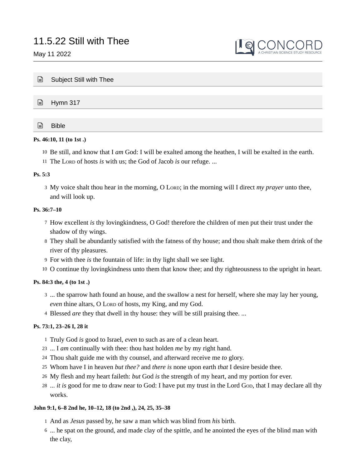May 11 2022



| $\Box$ | Subject Still with Thee |
|--------|-------------------------|
|        |                         |
|        | $\triangleq$ Hymn 317   |
|        |                         |
| G      | <b>Bible</b>            |

# **Ps. 46:10, 11 (to 1st .)**

- Be still, and know that I *am* God: I will be exalted among the heathen, I will be exalted in the earth. 10
- 11 The Lord of hosts *is* with us; the God of Jacob *is* our refuge. ...

## **Ps. 5:3**

3 My voice shalt thou hear in the morning, O LORD; in the morning will I direct *my prayer* unto thee, and will look up.

# **Ps. 36:7–10**

- 7 How excellent *is* thy lovingkindness, O God! therefore the children of men put their trust under the shadow of thy wings.
- They shall be abundantly satisfied with the fatness of thy house; and thou shalt make them drink of the 8 river of thy pleasures.
- For with thee *is* the fountain of life: in thy light shall we see light. 9
- 10 O continue thy lovingkindness unto them that know thee; and thy righteousness to the upright in heart.

# **Ps. 84:3 the, 4 (to 1st .)**

- 3 ... the sparrow hath found an house, and the swallow a nest for herself, where she may lay her young, *even* thine altars, O Loro of hosts, my King, and my God.
- 4 Blessed *are* they that dwell in thy house: they will be still praising thee. ...

# **Ps. 73:1, 23–26 I, 28 it**

- Truly God *is* good to Israel, *even* to such as are of a clean heart. 1
- ... I *am* continually with thee: thou hast holden *me* by my right hand. 23
- Thou shalt guide me with thy counsel, and afterward receive me *to* glory. 24
- Whom have I in heaven *but thee?* and *there is* none upon earth *that* I desire beside thee. 25
- My flesh and my heart faileth: *but* God *is* the strength of my heart, and my portion for ever. 26
- 28 ... *it* is good for me to draw near to God: I have put my trust in the Lord Gop, that I may declare all thy works.

# **John 9:1, 6–8 2nd he, 10–12, 18 (to 2nd ,), 24, 25, 35–38**

- And as *Jesus* passed by, he saw a man which was blind from *his* birth. 1
- ... he spat on the ground, and made clay of the spittle, and he anointed the eyes of the blind man with 6the clay,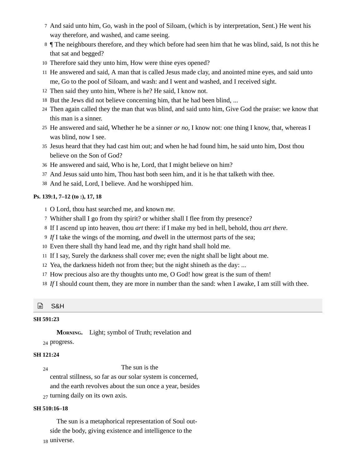- And said unto him, Go, wash in the pool of Siloam, (which is by interpretation, Sent.) He went his 7 way therefore, and washed, and came seeing.
- 8 *I* The neighbours therefore, and they which before had seen him that he was blind, said, Is not this he that sat and begged?
- Therefore said they unto him, How were thine eyes opened? 10
- 11 He answered and said, A man that is called Jesus made clay, and anointed mine eyes, and said unto me, Go to the pool of Siloam, and wash: and I went and washed, and I received sight.
- 12 Then said they unto him, Where is he? He said, I know not.
- 18 But the Jews did not believe concerning him, that he had been blind, ...
- Then again called they the man that was blind, and said unto him, Give God the praise: we know that 24 this man is a sinner.
- 25 He answered and said, Whether he be a sinner *or no*, I know not: one thing I know, that, whereas I was blind, now I see.
- 35 Jesus heard that they had cast him out; and when he had found him, he said unto him, Dost thou believe on the Son of God?
- He answered and said, Who is he, Lord, that I might believe on him? 36
- And Jesus said unto him, Thou hast both seen him, and it is he that talketh with thee. 37
- And he said, Lord, I believe. And he worshipped him. 38

#### **Ps. 139:1, 7–12 (to :), 17, 18**

- O Lord, thou hast searched me, and known *me*. 1
- Whither shall I go from thy spirit? or whither shall I flee from thy presence? 7
- If I ascend up into heaven, thou *art* there: if I make my bed in hell, behold, thou *art there*. 8
- *If* I take the wings of the morning, *and* dwell in the uttermost parts of the sea; 9
- Even there shall thy hand lead me, and thy right hand shall hold me. 10
- 11 If I say, Surely the darkness shall cover me; even the night shall be light about me.
- 12 Yea, the darkness hideth not from thee; but the night shineth as the day: ...
- 17 How precious also are thy thoughts unto me, O God! how great is the sum of them!
- 18 If I should count them, they are more in number than the sand: when I awake, I am still with thee.

#### ⊟ S&H

# **SH 591:23**

**Morning.** Light; symbol of Truth; revelation and

<sup>24</sup> progress.

# **SH 121:24**

24

The sun is the

central stillness, so far as our solar system is concerned,

and the earth revolves about the sun once a year, besides

<sub>27</sub> turning daily on its own axis.

#### **SH 510:16–18**

The sun is a metaphorical representation of Soul outside the body, giving existence and intelligence to the <sup>18</sup> universe.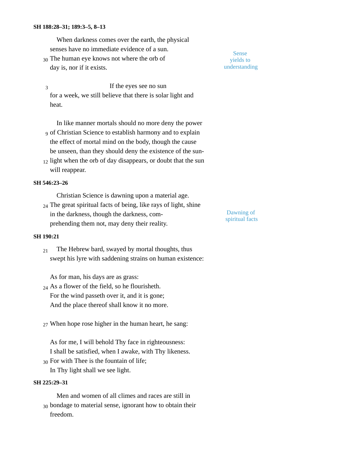#### **SH 188:28–31; 189:3–5, 8–13**

When darkness comes over the earth, the physical senses have no immediate evidence of a sun.

30 The human eye knows not where the orb of day is, nor if it exists.

If the eyes see no sun for a week, we still believe that there is solar light and heat. 3

In like manner mortals should no more deny the power of Christian Science to establish harmony and to explain 9 the effect of mortal mind on the body, though the cause be unseen, than they should deny the existence of the sun-

 $_{12}$  light when the orb of day disappears, or doubt that the sun will reappear.

## **SH 546:23–26**

Christian Science is dawning upon a material age.

The great spiritual facts of being, like rays of light, shine 24 in the darkness, though the darkness, comprehending them not, may deny their reality.

#### **SH 190:21**

The Hebrew bard, swayed by mortal thoughts, thus swept his lyre with saddening strains on human existence: 21

As for man, his days are as grass:

- $_{24}$  As a flower of the field, so he flourisheth. For the wind passeth over it, and it is gone; And the place thereof shall know it no more.
- When hope rose higher in the human heart, he sang: 27
- As for me, I will behold Thy face in righteousness: I shall be satisfied, when I awake, with Thy likeness. 30 For with Thee is the fountain of life;

In Thy light shall we see light.

## **SH 225:29–31**

Men and women of all climes and races are still in  $_{30}$  bondage to material sense, ignorant how to obtain their freedom.

Sense yields to understanding

Dawning of spiritual facts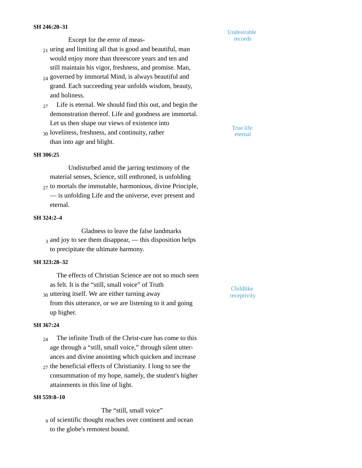Except for the error of meas-

 $_{21}$  uring and limiting all that is good and beautiful, man would enjoy more than threescore years and ten and still maintain his vigor, freshness, and promise. Man,

- $_{24}$  governed by immortal Mind, is always beautiful and grand. Each succeeding year unfolds wisdom, beauty, and holiness.
- $_{27}$  Life is eternal. We should find this out, and begin the demonstration thereof. Life and goodness are immortal. Let us then shape our views of existence into
- $_{30}$  loveliness, freshness, and continuity, rather  $\frac{1}{20}$  eternal than into age and blight.

True life

Childlike

Undesirable records

## **SH 306:25**

Undisturbed amid the jarring testimony of the material senses, Science, still enthroned, is unfolding 27 to mortals the immutable, harmonious, divine Principle, — is unfolding Life and the universe, ever present and

eternal.

# **SH 324:2–4**

Gladness to leave the false landmarks  $_3$  and joy to see them disappear, — this disposition helps to precipitate the ultimate harmony.

#### **SH 323:28–32**

The effects of Christian Science are not so much seen as felt. It is the "still, small voice" of Truth  $_{30}$  uttering itself. We are either turning away  $\frac{1}{20}$  receptivity from this utterance, or we are listening to it and going

## **SH 367:24**

up higher.

- The infinite Truth of the Christ-cure has come to this age through a "still, small voice," through silent utterances and divine anointing which quicken and increase 24
- $_{27}$  the beneficial effects of Christianity. I long to see the consummation of my hope, namely, the student's higher attainments in this line of light.

# **SH 559:8–10**

The "still, small voice"

of scientific thought reaches over continent and ocean 9to the globe's remotest bound.